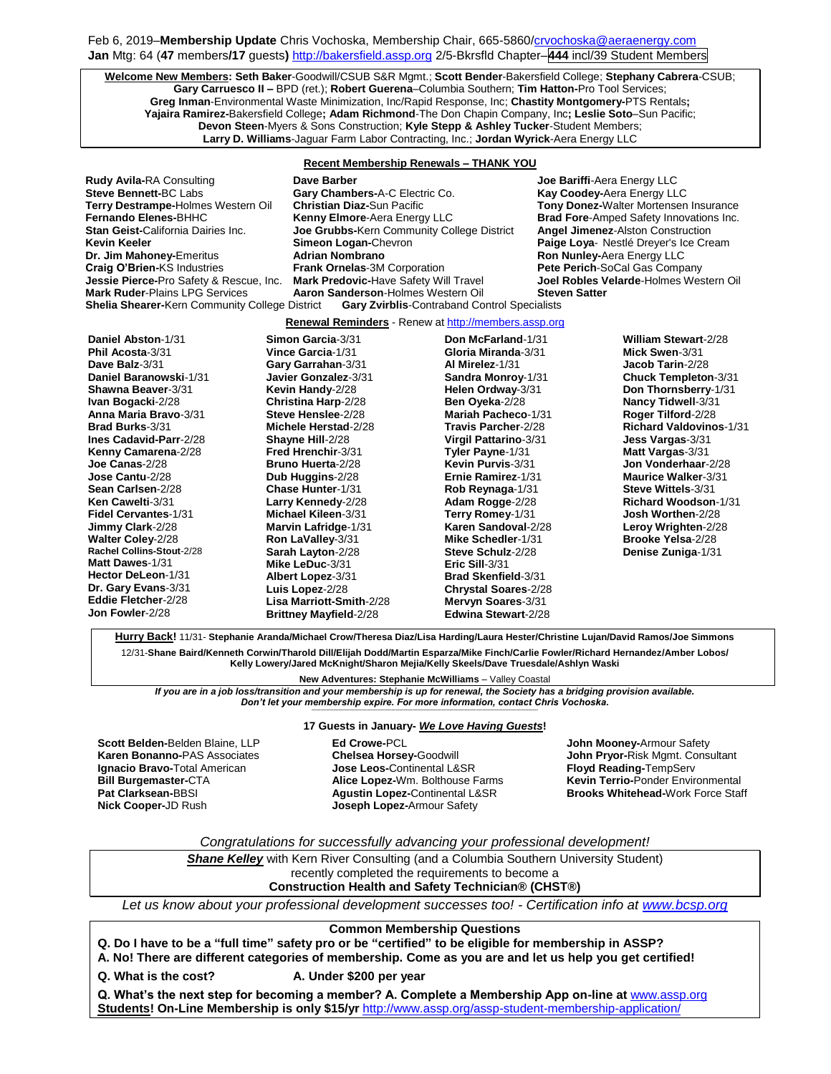## Feb 6, 2019-Membership Update Chris Vochoska, Membership Chair, 665-586[0/crvochoska@aeraenergy.com](mailto:crvochoska@aeraenergy.com) **Jan** Mtg: 64 (**47** members**/17** guests**)** [http://bakersfield.assp.org](http://bakersfield.assp.org/) 2/5-Bkrsfld Chapter–**444** incl/39 Student Members

**Welcome New Members: Seth Baker**-Goodwill/CSUB S&R Mgmt.; **Scott Bender**-Bakersfield College; **Stephany Cabrera**-CSUB; **Gary Carruesco II –** BPD (ret.); **Robert Guerena**–Columbia Southern; **Tim Hatton-**Pro Tool Services; **Greg Inman**-Environmental Waste Minimization, Inc/Rapid Response, Inc; **Chastity Montgomery-**PTS Rentals**; Yajaira Ramirez-**Bakersfield College**; Adam Richmond**-The Don Chapin Company, Inc**; Leslie Soto**–Sun Pacific; **Devon Steen**-Myers & Sons Construction; **Kyle Stepp & Ashley Tucker**-Student Members; **Larry D. Williams**-Jaguar Farm Labor Contracting, Inc.; **Jordan Wyrick**-Aera Energy LLC

## **Recent Membership Renewals – THANK YOU**

**Steve Bennett-BC Labs <b>Gary Chambers-A-C Electric Co. Shelia Shearer-**Kern Community College District **Gary Zvirblis**-Contraband Control Specialists

**Rudy Avila-**RA Consulting **Dave Barber Joe Bariffi**-Aera Energy LLC **Terry Destrampe-**Holmes Western Oil **Christian Diaz-**Sun Pacific **Tony Donez-**Walter Mortensen Insurance **Fernando Elenes-**BHHC **Kenny Elmore**-Aera Energy LLC **Brad Fore**-Amped Safety Innovations Inc. **Joe Grubbs-**Kern Community College District **Kevin Keeler Simeon Logan-**Chevron **Paige Loya**- Nestlé Dreyer's Ice Cream **Dr. Jim Mahoney-Emeritus <b>Adrian Nombrano Ron Nunley-Aera Energy LLC Craig O'Brien-**KS Industries **Frank Ornelas**-3M Corporation **Pete Perich-SoCal Gas Company**<br> **Jessie Pierce-**Pro Safety & Rescue, Inc. **Mark Predovic-Have Safety Will Travel Joel Robles Velarde-Holmes Wes Jessie Pierce-**Pro Safety & Rescue, Inc. **Mark Predovic-**Have Safety Will Travel **Joel Robles Velarde**-Holmes Western Oil **Mark Ruder**-Plains LPG Services **Aaron Sanderson**-Holmes Western Oil **Steven Satter**

#### **Renewal Reminders** - Renew a[t http://members.assp.org](http://members.assp.org/)

**Daniel Abston**-1/31 **Phil Acosta**-3/31 **Dave Balz**-3/31 **Daniel Baranowski**-1/31 **Shawna Beaver**-3/31 **Ivan Bogacki**-2/28 **Anna Maria Bravo**-3/31 **Brad Burks**-3/31 **Ines Cadavid-Parr**-2/28 **Kenny Camarena**-2/28 **Joe Canas**-2/28 **Jose Cantu**-2/28 **Sean Carlsen**-2/28 **Ken Cawelti**-3/31 **Fidel Cervantes**-1/31 **Jimmy Clark**-2/28 **Walter Coley**-2/28 **Rachel Collins-Stout**-2/28 **Matt Dawes**-1/31 **Hector DeLeon**-1/31 **Dr. Gary Evans**-3/31 **Eddie Fletcher**-2/28 **Jon Fowler**-2/28 **Simon Garcia**-3/31 **Vince Garcia**-1/31 **Gary Garrahan**-3/31 **Javier Gonzalez**-3/31 **Kevin Handy**-2/28 **Christina Harp**-2/28 **Steve Henslee**-2/28 **Michele Herstad**-2/28 **Shayne Hill**-2/28 **Fred Hrenchir**-3/31 **Bruno Huerta**-2/28 **Dub Huggins**-2/28 **Chase Hunter**-1/31 **Larry Kennedy**-2/28 **Michael Kileen**-3/31 **Marvin Lafridge**-1/31 **Ron LaValley**-3/31 **Sarah Layton**-2/28 **Mike LeDuc**-3/31 **Albert Lopez**-3/31 **Luis Lopez**-2/28 **Lisa Marriott-Smith**-2/28 **Brittney Mayfield**-2/28

**Don McFarland**-1/31 **Gloria Miranda**-3/31 **Al Mirelez**-1/31 **Sandra Monroy**-1/31 **Helen Ordway**-3/31 **Ben Oyeka**-2/28 **Mariah Pacheco**-1/31 **Travis Parcher**-2/28 **Virgil Pattarino**-3/31 **Tyler Payne**-1/31 **Kevin Purvis**-3/31 **Ernie Ramirez**-1/31 **Rob Reynaga**-1/31 **Adam Rogge**-2/28 **Terry Romey**-1/31 **Karen Sandoval**-2/28 **Mike Schedler**-1/31 **Steve Schulz**-2/28 **Eric Sill**-3/31 **Brad Skenfield**-3/31 **Chrystal Soares**-2/28 **Mervyn Soares**-3/31 **Edwina Stewart**-2/28

**William Stewart**-2/28 **Mick Swen**-3/31 **Jacob Tarin**-2/28 **Chuck Templeton**-3/31 **Don Thornsberry**-1/31 **Nancy Tidwell**-3/31 **Roger Tilford**-2/28 **Richard Valdovinos**-1/31 **Jess Vargas**-3/31 **Matt Vargas**-3/31 **Jon Vonderhaar**-2/28 **Maurice Walker**-3/31 **Steve Wittels**-3/31 **Richard Woodson**-1/31 **Josh Worthen**-2/28 **Leroy Wrighten**-2/28 **Brooke Yelsa**-2/28 **Denise Zuniga**-1/31

**Hurry Back!** 11/31- **Stephanie Aranda/Michael Crow/Theresa Diaz/Lisa Harding/Laura Hester/Christine Lujan/David Ramos/Joe Simmons** 12/31-**Shane Baird/Kenneth Corwin/Tharold Dill/Elijah Dodd/Martin Esparza/Mike Finch/Carlie Fowler/Richard Hernandez/Amber Lobos/ Kelly Lowery/Jared McKnight/Sharon Mejia/Kelly Skeels/Dave Truesdale/Ashlyn Waski**

**New Adventures: Stephanie McWilliams** – Valley Coastal

*If you are in a job loss/transition and your membership is up for renewal, the Society has a bridging provision available. Don't let your membership expire. For more information, contact Chris Vochoska.*  **-----------------------------------------------------------------------------------------------------------------------------------------------------------------------**

**Scott Belden-**Belden Blaine, LLP **Karen Bonanno-**PAS Associates **Ignacio Bravo-**Total American **Bill Burgemaster-**CTA **Pat Clarksean-**BBSI **Nick Cooper-**JD Rush

## **17 Guests in January-** *We Love Having Guests***!**

**Ed Crowe-**PCL **Chelsea Horsey-**Goodwill **Jose Leos-**Continental L&SR **Alice Lopez-**Wm. Bolthouse Farms **Agustin Lopez-**Continental L&SR **Joseph Lopez-**Armour Safety

**John Mooney-**Armour Safety **John Pryor-**Risk Mgmt. Consultant **Floyd Reading-**TempServ **Kevin Terrio-**Ponder Environmental **Brooks Whitehead-**Work Force Staff

## *Congratulations for successfully advancing your professional development!*

**Shane Kelley** with Kern River Consulting (and a Columbia Southern University Student) recently completed the requirements to become a **Construction Health and Safety Technician® (CHST®)**

*Let us know about your professional development successes too! - Certification info at [www.bcsp.org](http://www.bcsp.org/)*

#### **Common Membership Questions**

**Q. Do I have to be a "full time" safety pro or be "certified" to be eligible for membership in ASSP?** 

**A. No! There are different categories of membership. Come as you are and let us help you get certified!**

**Q. What is the cost? A. Under \$200 per year**

**Q. What's the next step for becoming a member? A. Complete a Membership App on-line at** [www.assp.org](http://www.assp.org/) **Students! On-Line Membership is only \$15/yr** <http://www.assp.org/assp-student-membership-application/>